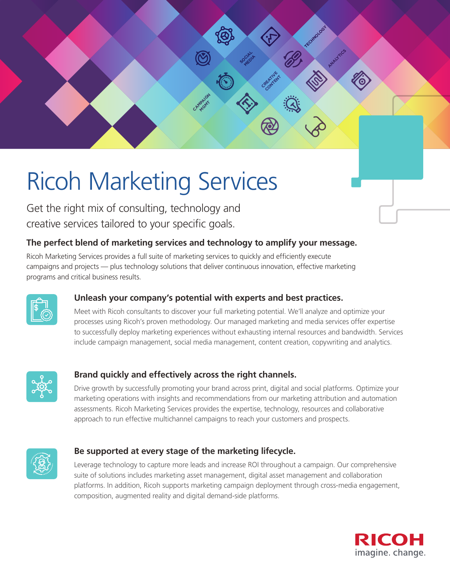# Ricoh Marketing Services

Get the right mix of consulting, technology and creative services tailored to your specific goals.

## **The perfect blend of marketing services and technology to amplify your message.**

CAMPAIGN **MGMT** 

Ricoh Marketing Services provides a full suite of marketing services to quickly and efficiently execute campaigns and projects — plus technology solutions that deliver continuous innovation, effective marketing programs and critical business results.



## **Unleash your company's potential with experts and best practices.**

Meet with Ricoh consultants to discover your full marketing potential. We'll analyze and optimize your processes using Ricoh's proven methodology. Our managed marketing and media services offer expertise to successfully deploy marketing experiences without exhausting internal resources and bandwidth. Services include campaign management, social media management, content creation, copywriting and analytics.

SOCIAL **CITY** 

> CREATIVE **CONTENT**

> > <u>、大きさん ころのことをしてもないよくないよくないよくないような人気</u>

**ATALLYTICS** 

**TECHNOLOGY** 



## **Brand quickly and effectively across the right channels.**

Drive growth by successfully promoting your brand across print, digital and social platforms. Optimize your marketing operations with insights and recommendations from our marketing attribution and automation assessments. Ricoh Marketing Services provides the expertise, technology, resources and collaborative approach to run effective multichannel campaigns to reach your customers and prospects.



## **Be supported at every stage of the marketing lifecycle.**

Leverage technology to capture more leads and increase ROI throughout a campaign. Our comprehensive suite of solutions includes marketing asset management, digital asset management and collaboration platforms. In addition, Ricoh supports marketing campaign deployment through cross-media engagement, composition, augmented reality and digital demand-side platforms.